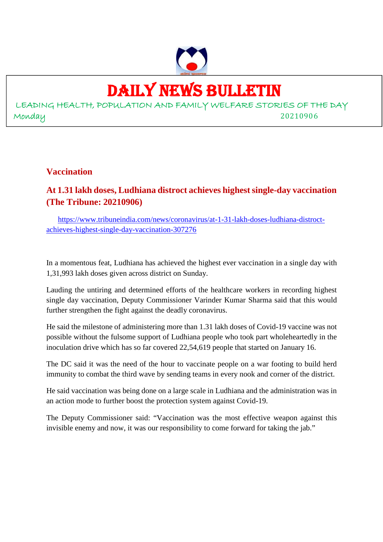

## DAILY NEWS BULLETIN

LEADING HEALTH, POPULATION AND FAMILY WELFARE STORIES OF THE DAY Monday 20210906

**Vaccination**

## **At 1.31 lakh doses, Ludhiana distroct achieves highest single-day vaccination (The Tribune: 20210906)**

https://www.tribuneindia.com/news/coronavirus/at-1-31-lakh-doses-ludhiana-distroctachieves-highest-single-day-vaccination-307276

In a momentous feat, Ludhiana has achieved the highest ever vaccination in a single day with 1,31,993 lakh doses given across district on Sunday.

Lauding the untiring and determined efforts of the healthcare workers in recording highest single day vaccination, Deputy Commissioner Varinder Kumar Sharma said that this would further strengthen the fight against the deadly coronavirus.

He said the milestone of administering more than 1.31 lakh doses of Covid-19 vaccine was not possible without the fulsome support of Ludhiana people who took part wholeheartedly in the inoculation drive which has so far covered 22,54,619 people that started on January 16.

The DC said it was the need of the hour to vaccinate people on a war footing to build herd immunity to combat the third wave by sending teams in every nook and corner of the district.

He said vaccination was being done on a large scale in Ludhiana and the administration was in an action mode to further boost the protection system against Covid-19.

The Deputy Commissioner said: "Vaccination was the most effective weapon against this invisible enemy and now, it was our responsibility to come forward for taking the jab."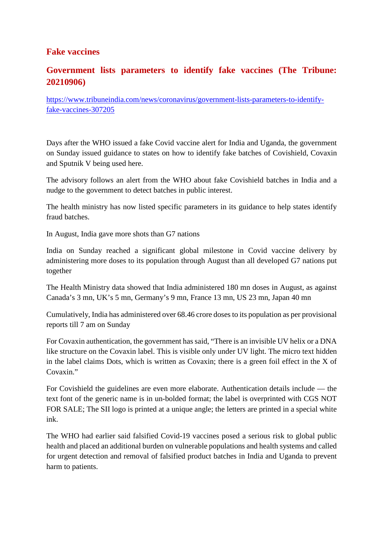#### **Fake vaccines**

#### **Government lists parameters to identify fake vaccines (The Tribune: 20210906)**

https://www.tribuneindia.com/news/coronavirus/government-lists-parameters-to-identifyfake-vaccines-307205

Days after the WHO issued a fake Covid vaccine alert for India and Uganda, the government on Sunday issued guidance to states on how to identify fake batches of Covishield, Covaxin and Sputnik V being used here.

The advisory follows an alert from the WHO about fake Covishield batches in India and a nudge to the government to detect batches in public interest.

The health ministry has now listed specific parameters in its guidance to help states identify fraud batches.

In August, India gave more shots than G7 nations

India on Sunday reached a significant global milestone in Covid vaccine delivery by administering more doses to its population through August than all developed G7 nations put together

The Health Ministry data showed that India administered 180 mn doses in August, as against Canada's 3 mn, UK's 5 mn, Germany's 9 mn, France 13 mn, US 23 mn, Japan 40 mn

Cumulatively, India has administered over 68.46 crore doses to its population as per provisional reports till 7 am on Sunday

For Covaxin authentication, the government has said, "There is an invisible UV helix or a DNA like structure on the Covaxin label. This is visible only under UV light. The micro text hidden in the label claims Dots, which is written as Covaxin; there is a green foil effect in the X of Covaxin."

For Covishield the guidelines are even more elaborate. Authentication details include — the text font of the generic name is in un-bolded format; the label is overprinted with CGS NOT FOR SALE; The SII logo is printed at a unique angle; the letters are printed in a special white ink.

The WHO had earlier said falsified Covid-19 vaccines posed a serious risk to global public health and placed an additional burden on vulnerable populations and health systems and called for urgent detection and removal of falsified product batches in India and Uganda to prevent harm to patients.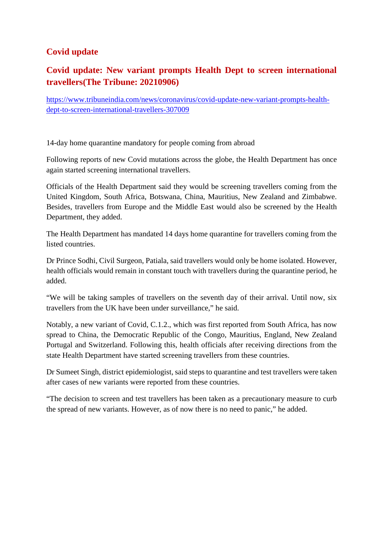#### **Covid update**

#### **Covid update: New variant prompts Health Dept to screen international travellers(The Tribune: 20210906)**

https://www.tribuneindia.com/news/coronavirus/covid-update-new-variant-prompts-healthdept-to-screen-international-travellers-307009

14-day home quarantine mandatory for people coming from abroad

Following reports of new Covid mutations across the globe, the Health Department has once again started screening international travellers.

Officials of the Health Department said they would be screening travellers coming from the United Kingdom, South Africa, Botswana, China, Mauritius, New Zealand and Zimbabwe. Besides, travellers from Europe and the Middle East would also be screened by the Health Department, they added.

The Health Department has mandated 14 days home quarantine for travellers coming from the listed countries.

Dr Prince Sodhi, Civil Surgeon, Patiala, said travellers would only be home isolated. However, health officials would remain in constant touch with travellers during the quarantine period, he added.

"We will be taking samples of travellers on the seventh day of their arrival. Until now, six travellers from the UK have been under surveillance," he said.

Notably, a new variant of Covid, C.1.2., which was first reported from South Africa, has now spread to China, the Democratic Republic of the Congo, Mauritius, England, New Zealand Portugal and Switzerland. Following this, health officials after receiving directions from the state Health Department have started screening travellers from these countries.

Dr Sumeet Singh, district epidemiologist, said steps to quarantine and test travellers were taken after cases of new variants were reported from these countries.

"The decision to screen and test travellers has been taken as a precautionary measure to curb the spread of new variants. However, as of now there is no need to panic," he added.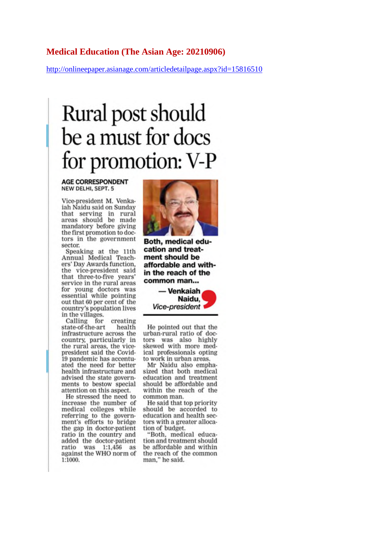#### **Medical Education (The Asian Age: 20210906)**

http://onlineepaper.asianage.com/articledetailpage.aspx?id=15816510

# Rural post should be a must for docs for promotion: V-P

**AGE CORRESPONDENT** NEW DELHI, SEPT. 5

Vice-president M. Venkaiah Naidu said on Sunday that serving in rural<br>areas should be made mandatory before giving the first promotion to doctors in the government sector.

Speaking at the 11th Annual Medical Teachers' Day Awards function, the vice-president said that three-to-five years' service in the rural areas for young doctors was essential while pointing out that 60 per cent of the country's population lives in the villages.

Calling for creating state-of-the-art health infrastructure across the country, particularly in the rural areas, the vicepresident said the Covid-19 pandemic has accentuated the need for better health infrastructure and advised the state governments to bestow special attention on this aspect.

He stressed the need to increase the number of medical colleges while referring to the government's efforts to bridge the gap in doctor-patient ratio in the country and added the doctor-patient ratio was 1:1,456 as against the WHO norm of 1:1000.



Both, medical education and treatment should be affordable and within the reach of the common man...



He pointed out that the urban-rural ratio of doctors was also highly skewed with more medical professionals opting to work in urban areas.

Mr Naidu also emphasized that both medical education and treatment should be affordable and within the reach of the common man.

He said that top priority should be accorded to education and health sectors with a greater allocation of budget.

"Both, medical education and treatment should be affordable and within the reach of the common man," he said.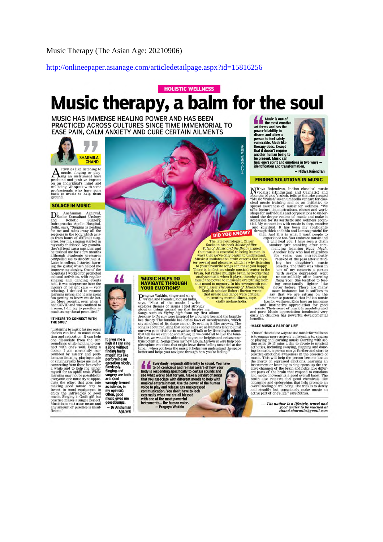http://onlineepaper.asianage.com/articledetailpage.aspx?id=15816256

## **HOLISTIC WELLNESS** Music therapy, a balm for the soul

MUSIC HAS IMMENSE HEALING POWER AND HAS BEEN PRACTICED ACROSS CULTURES SINCE TIME IMMEMORIAL TO EASE PAIN, CALM ANXIETY AND CURE CERTAIN AILMENTS



ctivities like listening to  $\sum_{\substack{\text{mustic, sing nor only only a number of days.} \text{using an instrument have on an individual's mind and positive images.} \text{We speak with some processing.} \text{We speak with some problems.} \text{We speak with some words.} \text{we have a basic total value.} \text{We can be used to be a good solution.} \text{We can use a more general solution.} \text{We can use a more general solution.} \text{We can use a more general solution.} \text{We can use a more general solution.} \text{We can use a more general solution.} \text{We can use a more general solution.} \text{We can use a more general solution.} \text{We can use a more general solution.} \text{We can use a more general solution.} \text{We can use a more general solution.} \text{We can$ 

#### SOLACE IN MUSIC

 $\fbox{\parbox{0.9\linewidth}{\textbf{D}}\begin{tabular}{l} \textbf{r} & Anshuman & Agarwal,\\ \textbf{3}}\\ \textbf{and} & Robotic & Surgery\\ \textbf{Indrargrastha Apollo Hospital,} \\ \textbf{Delhi, says, "Singing is healing for me and takes away all the sources in the body, which arises from hours of different sums;\\ \textbf{or one is nonours of initial energy.} \end{tabular}$ es from hours of difficult surge<br>eries. For me, singing started in<br>my early childhood. My grandfa-<br>ther's friend was a musician and<br>he trained me for a few months<br>although academic pressures<br>compelled me to discontinue it. compelled me to discontinue it.<br>Later in college, I started learned me to discontinue it.<br>Later in college, I started learned inprove my singing. One of the<br>oppitals I worked for promoted cultural activities, with regular<br>

#### **'IT HELPS TO CONNECT WITH**<br>THE SOUL'

THE SOUL<br>
THE SOUL<br>
THE SOUL<br>
The Soult of the Soult of the Soult<br>
choice) can lead to model level<br>
condition and relaxation. It can help<br>
noundings while helping to con-<br>
noundings while helping to con-<br>
noundings while h any amount of practice is insufficient."

**DID YOU KNOW!**<br>
The late neurologist, oliver it was consistent to the state in the Brain argued that music is essential to being human in varyer ways that we've only begun to understand.<br>
ter reward and pleasure, which is

## **NAVIGATE THROUGH<br>YOUR EMOTIONS'**

**Example 10 and Solution Control Control Control Control Control Control Control Control Control Control Control Control Control Control Control Control Control Control Control Control Control Control Control Control Contr** 

Everybody responds differently to sound. You had to be conscious and remain aware of how your<br>body is responding specifically to certain sounds and<br>see what works best for you. Make a playils of songs<br>that you associate wi und. You have Music is one of<br>the most emotive<br>powerful ability to<br>powerful ability to<br>disarm and allow a<br>person to feel safely<br>vulnerable. Much like<br>that it doesn't require<br>that it doesn't require<br>abouther human being to<br>be present. Mu be present. Music can



be present waste can<br>heal one's spirit and emotions i<br>identification and transformatio otions in two ways -- Nithya Raiendran

#### **FINDING SOLUTIONS IN MUSIC**

**FINDING SOLUTIONS IN MUSIC**<br>
Nithya Rajendran, Indian classical music<br>
Nivocalist (Hindustani and Carnatic) and<br>
Founder Music Wruksh, relis unst also take the created<br>
sylal music wruksh "as an univor the average sylal

and pure. Music appreciation inculcated very<br>early in children has powerful developmental early in

#### 'MAKE MUSIC A PART OF LIFE'

"One of the easiest ways to use music for wellness is to engage more actively in listening to, singing or playing and learning music. Starting with setting aside to 15 mins a day to devote to musical activities, including "One of the easiest ways to use music for wellness

> - The author is a lifestyle, travel and food writer to be reached at<br>chand.sharmila@gmail.com

**MUSIC HELPS TO** 

It gives me a<br>high if I can sing<br>a song without<br>finding faults<br>myself. It's like

mysen, it's like<br>performing an<br>operation nicely,<br>flawlessly.<br>Singing and<br>surgery are both<br>arts (and arts (and<br>wrongly termed<br>as science, in<br>my opinion).<br>Often, good music gives me - Dr Anshuman

Agarwal

**DID YOU KNOW?**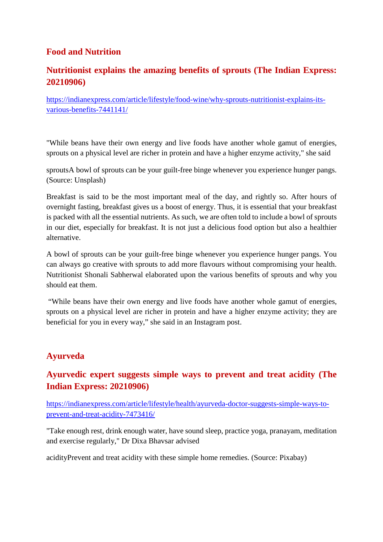#### **Food and Nutrition**

#### **Nutritionist explains the amazing benefits of sprouts (The Indian Express: 20210906)**

https://indianexpress.com/article/lifestyle/food-wine/why-sprouts-nutritionist-explains-itsvarious-benefits-7441141/

"While beans have their own energy and live foods have another whole gamut of energies, sprouts on a physical level are richer in protein and have a higher enzyme activity," she said

sproutsA bowl of sprouts can be your guilt-free binge whenever you experience hunger pangs. (Source: Unsplash)

Breakfast is said to be the most important meal of the day, and rightly so. After hours of overnight fasting, breakfast gives us a boost of energy. Thus, it is essential that your breakfast is packed with all the essential nutrients. As such, we are often told to include a bowl of sprouts in our diet, especially for breakfast. It is not just a delicious food option but also a healthier alternative.

A bowl of sprouts can be your guilt-free binge whenever you experience hunger pangs. You can always go creative with sprouts to add more flavours without compromising your health. Nutritionist Shonali Sabherwal elaborated upon the various benefits of sprouts and why you should eat them.

"While beans have their own energy and live foods have another whole gamut of energies, sprouts on a physical level are richer in protein and have a higher enzyme activity; they are beneficial for you in every way," she said in an Instagram post.

#### **Ayurveda**

#### **Ayurvedic expert suggests simple ways to prevent and treat acidity (The Indian Express: 20210906)**

https://indianexpress.com/article/lifestyle/health/ayurveda-doctor-suggests-simple-ways-toprevent-and-treat-acidity-7473416/

"Take enough rest, drink enough water, have sound sleep, practice yoga, pranayam, meditation and exercise regularly," Dr Dixa Bhavsar advised

acidityPrevent and treat acidity with these simple home remedies. (Source: Pixabay)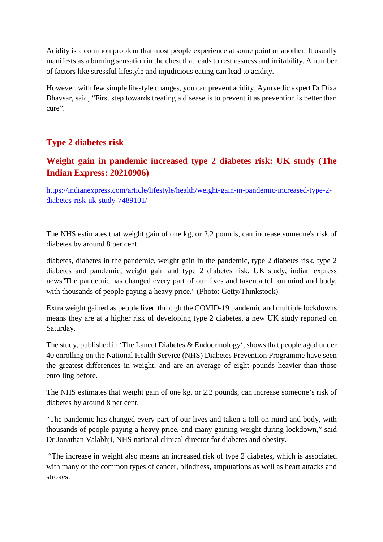Acidity is a common problem that most people experience at some point or another. It usually manifests as a burning sensation in the chest that leads to restlessness and irritability. A number of factors like stressful lifestyle and injudicious eating can lead to acidity.

However, with few simple lifestyle changes, you can prevent acidity. Ayurvedic expert Dr Dixa Bhavsar, said, "First step towards treating a disease is to prevent it as prevention is better than cure".

#### **Type 2 diabetes risk**

### **Weight gain in pandemic increased type 2 diabetes risk: UK study (The Indian Express: 20210906)**

https://indianexpress.com/article/lifestyle/health/weight-gain-in-pandemic-increased-type-2 diabetes-risk-uk-study-7489101/

The NHS estimates that weight gain of one kg, or 2.2 pounds, can increase someone's risk of diabetes by around 8 per cent

diabetes, diabetes in the pandemic, weight gain in the pandemic, type 2 diabetes risk, type 2 diabetes and pandemic, weight gain and type 2 diabetes risk, UK study, indian express news"The pandemic has changed every part of our lives and taken a toll on mind and body, with thousands of people paying a heavy price." (Photo: Getty/Thinkstock)

Extra weight gained as people lived through the COVID-19 pandemic and multiple lockdowns means they are at a higher risk of developing type 2 diabetes, a new UK study reported on Saturday.

The study, published in 'The Lancet Diabetes & Endocrinology', shows that people aged under 40 enrolling on the National Health Service (NHS) Diabetes Prevention Programme have seen the greatest differences in weight, and are an average of eight pounds heavier than those enrolling before.

The NHS estimates that weight gain of one kg, or 2.2 pounds, can increase someone's risk of diabetes by around 8 per cent.

"The pandemic has changed every part of our lives and taken a toll on mind and body, with thousands of people paying a heavy price, and many gaining weight during lockdown," said Dr Jonathan Valabhji, NHS national clinical director for diabetes and obesity.

"The increase in weight also means an increased risk of type 2 diabetes, which is associated with many of the common types of cancer, blindness, amputations as well as heart attacks and strokes.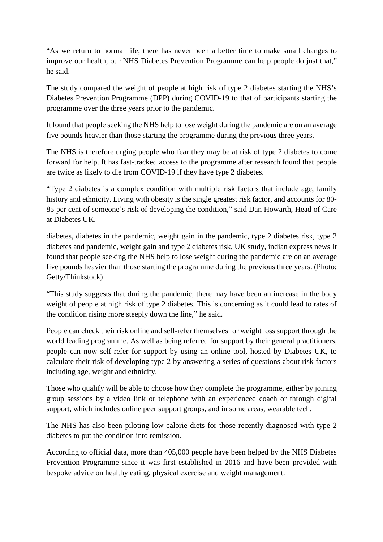"As we return to normal life, there has never been a better time to make small changes to improve our health, our NHS Diabetes Prevention Programme can help people do just that," he said.

The study compared the weight of people at high risk of type 2 diabetes starting the NHS's Diabetes Prevention Programme (DPP) during COVID-19 to that of participants starting the programme over the three years prior to the pandemic.

It found that people seeking the NHS help to lose weight during the pandemic are on an average five pounds heavier than those starting the programme during the previous three years.

The NHS is therefore urging people who fear they may be at risk of type 2 diabetes to come forward for help. It has fast-tracked access to the programme after research found that people are twice as likely to die from COVID-19 if they have type 2 diabetes.

"Type 2 diabetes is a complex condition with multiple risk factors that include age, family history and ethnicity. Living with obesity is the single greatest risk factor, and accounts for 80- 85 per cent of someone's risk of developing the condition," said Dan Howarth, Head of Care at Diabetes UK.

diabetes, diabetes in the pandemic, weight gain in the pandemic, type 2 diabetes risk, type 2 diabetes and pandemic, weight gain and type 2 diabetes risk, UK study, indian express news It found that people seeking the NHS help to lose weight during the pandemic are on an average five pounds heavier than those starting the programme during the previous three years. (Photo: Getty/Thinkstock)

"This study suggests that during the pandemic, there may have been an increase in the body weight of people at high risk of type 2 diabetes. This is concerning as it could lead to rates of the condition rising more steeply down the line," he said.

People can check their risk online and self-refer themselves for weight loss support through the world leading programme. As well as being referred for support by their general practitioners, people can now self-refer for support by using an online tool, hosted by Diabetes UK, to calculate their risk of developing type 2 by answering a series of questions about risk factors including age, weight and ethnicity.

Those who qualify will be able to choose how they complete the programme, either by joining group sessions by a video link or telephone with an experienced coach or through digital support, which includes online peer support groups, and in some areas, wearable tech.

The NHS has also been piloting low calorie diets for those recently diagnosed with type 2 diabetes to put the condition into remission.

According to official data, more than 405,000 people have been helped by the NHS Diabetes Prevention Programme since it was first established in 2016 and have been provided with bespoke advice on healthy eating, physical exercise and weight management.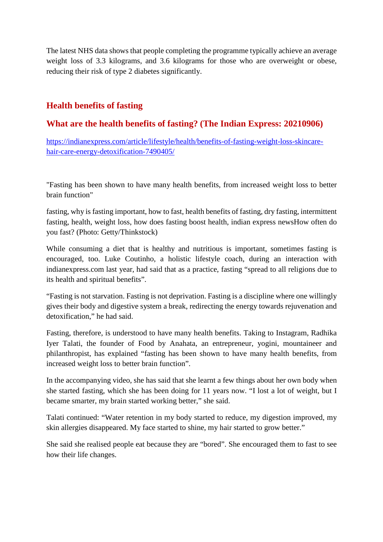The latest NHS data shows that people completing the programme typically achieve an average weight loss of 3.3 kilograms, and 3.6 kilograms for those who are overweight or obese, reducing their risk of type 2 diabetes significantly.

#### **Health benefits of fasting**

#### **What are the health benefits of fasting? (The Indian Express: 20210906)**

https://indianexpress.com/article/lifestyle/health/benefits-of-fasting-weight-loss-skincarehair-care-energy-detoxification-7490405/

"Fasting has been shown to have many health benefits, from increased weight loss to better brain function"

fasting, why is fasting important, how to fast, health benefits of fasting, dry fasting, intermittent fasting, health, weight loss, how does fasting boost health, indian express newsHow often do you fast? (Photo: Getty/Thinkstock)

While consuming a diet that is healthy and nutritious is important, sometimes fasting is encouraged, too. Luke Coutinho, a holistic lifestyle coach, during an interaction with indianexpress.com last year, had said that as a practice, fasting "spread to all religions due to its health and spiritual benefits".

"Fasting is not starvation. Fasting is not deprivation. Fasting is a discipline where one willingly gives their body and digestive system a break, redirecting the energy towards rejuvenation and detoxification," he had said.

Fasting, therefore, is understood to have many health benefits. Taking to Instagram, Radhika Iyer Talati, the founder of Food by Anahata, an entrepreneur, yogini, mountaineer and philanthropist, has explained "fasting has been shown to have many health benefits, from increased weight loss to better brain function".

In the accompanying video, she has said that she learnt a few things about her own body when she started fasting, which she has been doing for 11 years now. "I lost a lot of weight, but I became smarter, my brain started working better," she said.

Talati continued: "Water retention in my body started to reduce, my digestion improved, my skin allergies disappeared. My face started to shine, my hair started to grow better."

She said she realised people eat because they are "bored". She encouraged them to fast to see how their life changes.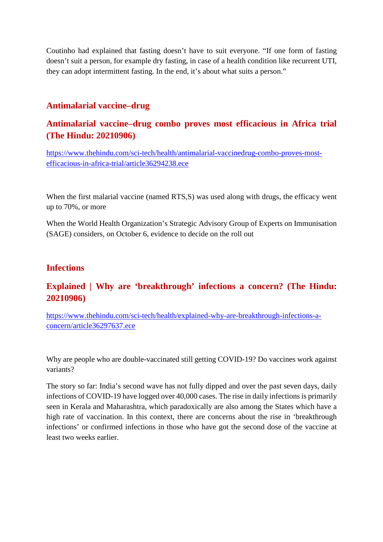Coutinho had explained that fasting doesn't have to suit everyone. "If one form of fasting doesn't suit a person, for example dry fasting, in case of a health condition like recurrent UTI, they can adopt intermittent fasting. In the end, it's about what suits a person."

#### **Antimalarial vaccine–drug**

#### **Antimalarial vaccine–drug combo proves most efficacious in Africa trial (The Hindu: 20210906)**

https://www.thehindu.com/sci-tech/health/antimalarial-vaccinedrug-combo-proves-mostefficacious-in-africa-trial/article36294238.ece

When the first malarial vaccine (named RTS, S) was used along with drugs, the efficacy went up to 70%, or more

When the World Health Organization's Strategic Advisory Group of Experts on Immunisation (SAGE) considers, on October 6, evidence to decide on the roll out

#### **Infections**

#### **Explained | Why are 'breakthrough' infections a concern? (The Hindu: 20210906)**

https://www.thehindu.com/sci-tech/health/explained-why-are-breakthrough-infections-aconcern/article36297637.ece

Why are people who are double-vaccinated still getting COVID-19? Do vaccines work against variants?

The story so far: India's second wave has not fully dipped and over the past seven days, daily infections of COVID-19 have logged over 40,000 cases. The rise in daily infections is primarily seen in Kerala and Maharashtra, which paradoxically are also among the States which have a high rate of vaccination. In this context, there are concerns about the rise in 'breakthrough infections' or confirmed infections in those who have got the second dose of the vaccine at least two weeks earlier.